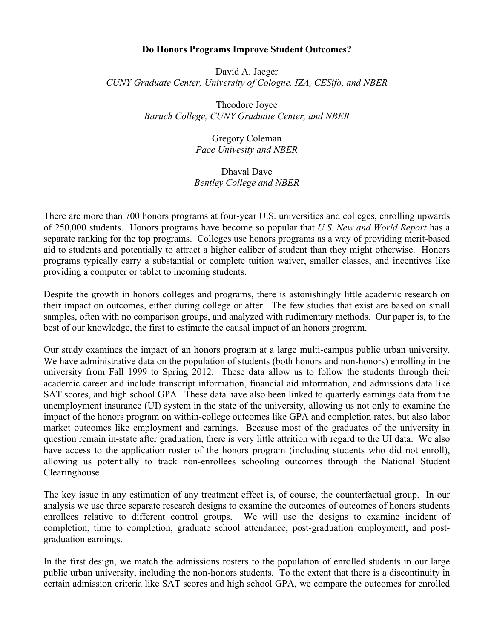## **Do Honors Programs Improve Student Outcomes?**

David A. Jaeger *CUNY Graduate Center, University of Cologne, IZA, CESifo, and NBER*

> Theodore Joyce *Baruch College, CUNY Graduate Center, and NBER*

> > Gregory Coleman *Pace Univesity and NBER*

## Dhaval Dave *Bentley College and NBER*

There are more than 700 honors programs at four-year U.S. universities and colleges, enrolling upwards of 250,000 students. Honors programs have become so popular that *U.S. New and World Report* has a separate ranking for the top programs. Colleges use honors programs as a way of providing merit-based aid to students and potentially to attract a higher caliber of student than they might otherwise. Honors programs typically carry a substantial or complete tuition waiver, smaller classes, and incentives like providing a computer or tablet to incoming students.

Despite the growth in honors colleges and programs, there is astonishingly little academic research on their impact on outcomes, either during college or after. The few studies that exist are based on small samples, often with no comparison groups, and analyzed with rudimentary methods. Our paper is, to the best of our knowledge, the first to estimate the causal impact of an honors program.

Our study examines the impact of an honors program at a large multi-campus public urban university. We have administrative data on the population of students (both honors and non-honors) enrolling in the university from Fall 1999 to Spring 2012. These data allow us to follow the students through their academic career and include transcript information, financial aid information, and admissions data like SAT scores, and high school GPA. These data have also been linked to quarterly earnings data from the unemployment insurance (UI) system in the state of the university, allowing us not only to examine the impact of the honors program on within-college outcomes like GPA and completion rates, but also labor market outcomes like employment and earnings. Because most of the graduates of the university in question remain in-state after graduation, there is very little attrition with regard to the UI data. We also have access to the application roster of the honors program (including students who did not enroll), allowing us potentially to track non-enrollees schooling outcomes through the National Student Clearinghouse.

The key issue in any estimation of any treatment effect is, of course, the counterfactual group. In our analysis we use three separate research designs to examine the outcomes of outcomes of honors students enrollees relative to different control groups. We will use the designs to examine incident of completion, time to completion, graduate school attendance, post-graduation employment, and postgraduation earnings.

In the first design, we match the admissions rosters to the population of enrolled students in our large public urban university, including the non-honors students. To the extent that there is a discontinuity in certain admission criteria like SAT scores and high school GPA, we compare the outcomes for enrolled